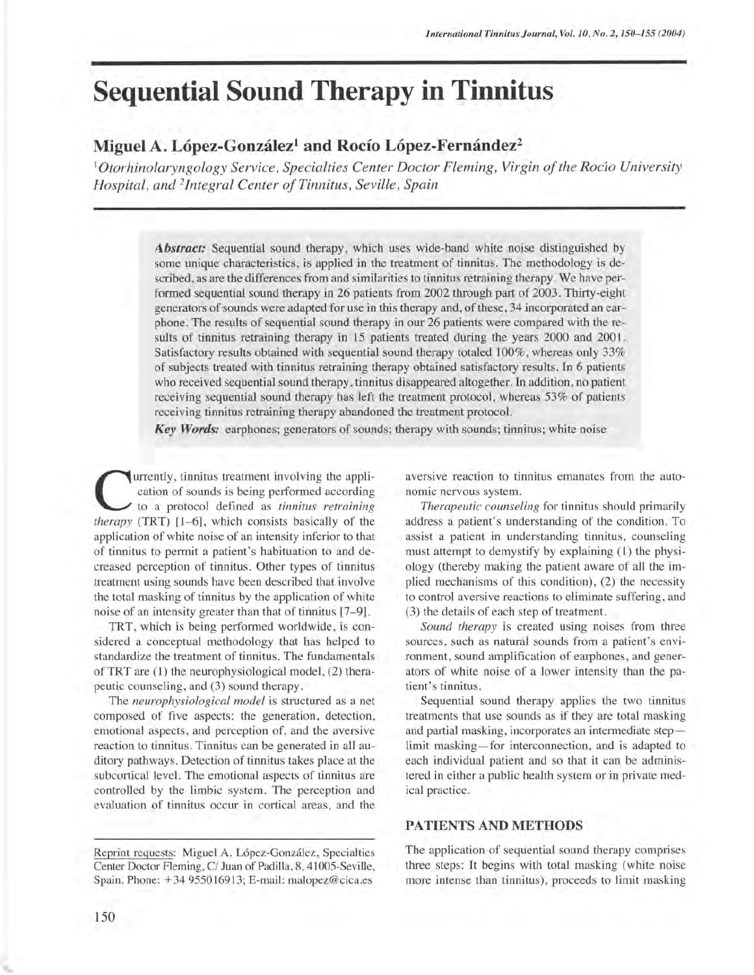# **Sequential Sound Therapy in Tinnitus**

## Miguel A. López-González<sup>1</sup> and Rocío López-Fernández<sup>2</sup>

*'Otorhinolaryngology Service, Specialties Center Doctor Fleming, Virgin of the ROclO University Hospital, and 2Integral Center of Tinnitus, Seville, Spain* 

> *Abstract:* Sequential sound therapy, which uses wide-band white noise distinguished by some unique characteristics, is applied in the treatment of tinnitus. The methodology is described, as are the differences from and similarities to tinnitus retraining therapy. We have performed sequential sound therapy in 26 patients from 2002 through part of 2003. Thirty-eight generators of sounds were adapted for use in this therapy and, of these, 34 incorporated an earphone. The results of sequential sound therapy in our 26 patients were compared with the results of tinnitus retraining therapy in 15 patients treated during the years 2000 and 200l. Satisfactory results obtained with sequential sound therapy totaled 100%, whereas only 33% of subjects treated with tinnitus retraining therapy obtained satisfactory results. In 6 patients who received sequential sound therapy, tinnitus disappeared altogether. In addition, no patient receiving sequential sound therapy has left the treatment protocol, whereas 53% of patients receiving tinnitus retraining therapy abandoned the treatment protocol.

*Key Words:* earphones; generators of sounds; therapy with sounds; tinnitus; white noise

urrently, tinnitus treatment involving the application of sounds is being performed according to a protocol defined as *tinnitus retraining therapy* (TRT) [1-6], which consists basically of the application of white noise of an intensity inferior to that of tinnitus to permit a patient's habituation to and decreased perception of tinnitus. Other types of tinnitus treatment using sounds have been described that involve the total masking of tinnitus by the application of white noise of an intensity greater than that of tinnitus [7-9] .

TRT, which is being performed worldwide, is considered a conceptual methodology that has helped to standardize the treatment of tinnitus. The fundamentals ofTRT are (1) the neurophysiological model, (2) therapeutic counseling, and (3) sound therapy.

The *neurophysiological model* is structured as a net composed of five aspects: the generation, detection, emotional aspects, and perception of, and the aversive reaction to tinnitus. Tinnitus can be generated in all auditory pathways. Detection of tinnitus takes place at the subcortical level. The emotional aspects of tinnitus are controlled by the limbic system. The perception and evaluation of tinnitus occur in cortical areas, and the

Reprint requests: Miguel A. Lopez-Gonzalez, Specialties Center Doctor Fleming, C/ Juan of Padilla, 8, 41005-Seville, Spain. Phone: +34955016913; E-mail: malopez@cica.es

aversive reaction to tinnitus emanates from the autonomic nervous system.

*Therapeutic counseling* for tinnitus should primarily address a patient's understanding of the condition. To assist a patient in understanding tinnitus, counseling must attempt to demystify by explaining (1) the physiology (thereby making the patient aware of all the implied mechanisms of this condition), (2) the necessity to control aversive reactions to eliminate suffering, and (3) the details of each step of treatment.

*Sound therapy* is created using noises from three sources, such as natural sounds from a patient's environment, sound amplification of earphones, and generators of white noise of a lower intensity than the patient's tinnitus.

Sequential sound therapy applies the two tinnitus treatments that use sounds as if they are total masking and partial masking, incorporates an intermediate steplimit masking-for interconnection, and is adapted to each individual patient and so that it can be administered in either a public health system or in private medical practice.

## PATIENTS AND METHODS

The application of sequential sound therapy comprises three steps: It begins with total masking (white noise more intense than tinnitus), proceeds to limit masking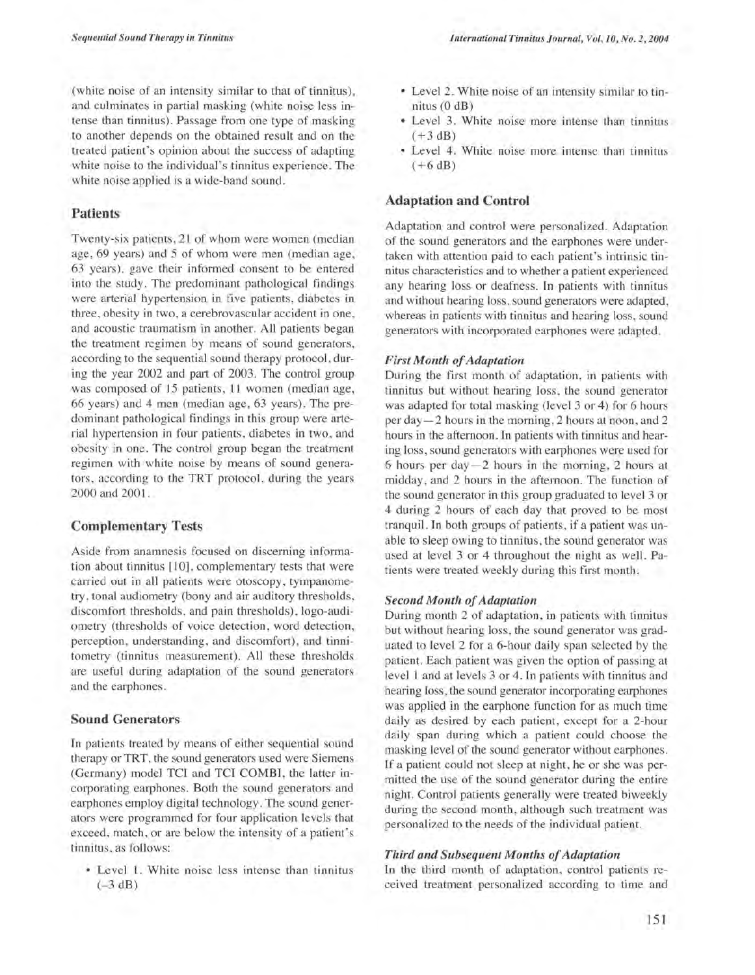(white noise of an intensity similar to that of tinnitus), and culminates in partial masking (white noise less intense than tinnitus). Passage from one type of masking to another depends on the obtained result and on the treated patient's opinion about the success of adapting white noise to the individual's tinnitus experience. The white noise applied is a wide-band sound.

## Patients

Twenty-six patients, 21 of whom were women (median age, 69 years) and 5 of whom were men (median age, 63 years), gave their informed consent to be entered into the study. The predominant pathological findings were arterial hypertension in five patients, diabetes in three, obesity in two, a cerebrovascular accident in one, and acoustic traumatism in another. All patients began the treatment regimen by means of sound generators, according to the sequential sound therapy protocol, during the year 2002 and part of 2003. The control group was composed of 15 patients, 11 women (median age, 66 years) and 4 men (median age, 63 years). The predominant pathological findings in this group were arterial hypertension in four patients, diabetes in two, and obesity in one. The control group began the treatment regimen with white noise by means of sound generators, according to the TRT protocol, during the years 2000 and 2001.

### Complementary Tests

Aside from anamnesis focused on discerning information about tinnitus [10], complementary tests that were carried out in all patients were otoscopy, tympanometry, tonal audiometry (bony and air auditory thresholds, discomfort thresholds, and pain thresholds), logo-audiometry (thresholds of voice detection, word detection , perception, understanding, and discomfort), and tinnitometry (tinnitus measurement). All these thresholds are useful during adaptation of the sound generators and the earphones.

## Sound Generators

In patients treated by means of either sequential sound therapy or TRT, the sound generators used were Siemens (Germany) model TCI and TCI COMBI, the latter incorporating earphones. Both the sound generators and earphones employ digital technology. The sound generators were programmed for four application levels that exceed, match, or are below the intensity of a patient's tinnitus, as follows:

• Level 1. White noise less intense than tinnitus  $(-3 dB)$ 

- Level 2. White noise of an intensity similar to tinnitus (0 dB)
- Level 3. White noise more intense than tinnitus  $(+3 dB)$
- Level 4. White noise more intense than tinnitus  $(+6 dB)$

## Adaptation and Control

Adaptation and control were personalized. Adaptation of the sound generators and the earphones were undertaken with attention paid to each patient's intrinsic tinnitus characteristics and to whether a patient experienced any hearing loss or deafness. In patients with tinnitus and without hearing loss, sound generators were adapted, whereas in patients with tinnitus and hearing loss, sound generators with incorporated earphones were adapted.

## *First Month of Adaptation*

During the first month of adaptation, in patients with tinnitus but without hearing loss, the sound generator was adapted for total masking (level 3 or 4) for 6 hours per day-2 hours in the morning, 2 hours at noon, and 2 hours in the afternoon. In patients with tinnitus and hearing loss, sound generators with earphones were used for  $6$  hours per day $-2$  hours in the morning, 2 hours at midday , and 2 hours in the afternoon. The function of the sound generator in this group graduated to level 3 or 4 during 2 hours of each day that proved to be most tranquil. In both groups of patients, if a patient was unable to sleep owing to tinnitus, the sound generator was used at level 3 or 4 throughout the night as well. Patients were treated weekly during this first month.

#### *Second Month of Adaptation*

During month 2 of adaptation, in patients with tinnitus but without hearing loss, the sound generator was graduated to level 2 for a 6-hour daily span selected by the patient. Each patient was given the option of passing at level 1 and at levels 3 or 4. In patients with tinnitus and hearing loss, the sound generator incorporating earphones was applied in the earphone function for as much time daily as desired by each patient, except for a 2-hour daily span during which a patient could choose the masking level of the sound generator without earphones. If a patient could not sleep at night, he or she was permitted the use of the sound generator during the entire night. Control patients generally were treated biweekly during the second month, although such treatment was personalized to the needs of the individual patient.

### *Third and Subsequent Months of Adaptation*

In the third month of adaptation, control patients received treatment personalized according to time and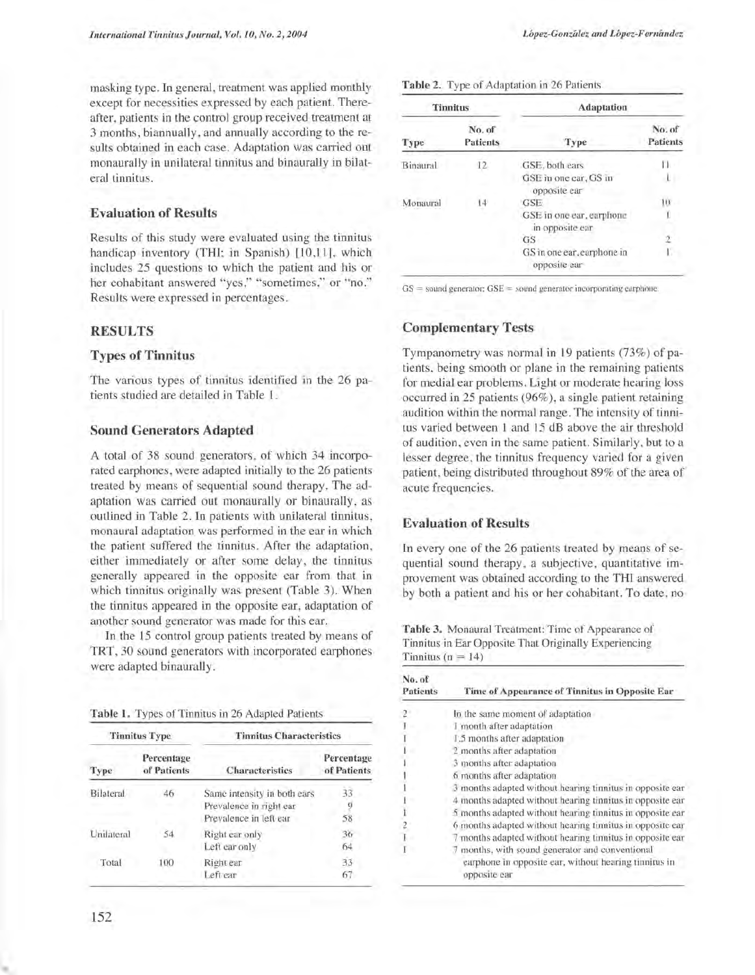masking type. In general, treatment was applied monthly except for necessities expressed by each patient. Thereafter, patients in the control group received treatment at 3 months, biannually, and annually according to the results obtained in each case. Adaptation was carried out monaurally in unilateral tinnitus and binaurally in bilateral tinnitus.

## Evaluation of Results

Results of this study were evaluated using the tinnitus handicap inventory (THI; in Spanish) [10,11], which includes 25 questions to which the patient and his or her cohabitant answered "yes," "sometimes," or "no." Results were expressed in percentages.

## RESULTS

## Types of Tinnitus

The various types of tinnitus identified in the 26 patients studied are detailed in Table 1.

## Sound Generators Adapted

A total of 38 sound generators, of which 34 incorporated earphones, were adapted initially to the 26 patients treated by means of sequential sound therapy. The adaptation was carried out monaurally or binaurally, as outlined in Table 2. In patients with unilateral tinnitus, monaural adaptation was performed in the ear in which the patient suffered the tinnitus. After the adaptation, either immediately or after some delay, the tinnitus generally appeared in the opposite ear from that in which tinnitus originally was present (Table 3). When the tinnitus appeared in the opposite ear, adaptation of another sound generator was made for this ear.

In the 15 control group patients treated by means of TRT, 30 sound generators with incorporated earphones were adapted binaurally.

|  |  | Table 1. Types of Tinnitus in 26 Adapted Patients |  |  |  |
|--|--|---------------------------------------------------|--|--|--|
|--|--|---------------------------------------------------|--|--|--|

| <b>Tinnitus Type</b> |                           | <b>Tinnitus Characteristics</b>                                                  |                           |  |
|----------------------|---------------------------|----------------------------------------------------------------------------------|---------------------------|--|
| Type                 | Percentage<br>of Patients | <b>Characteristics</b>                                                           | Percentage<br>of Patients |  |
| <b>Bilateral</b>     | 46                        | Same intensity in both ears<br>Prevalence in right ear<br>Prevalence in left ear | 33<br>58                  |  |
| Unilateral           | 54                        | Right ear only<br>Left ear only                                                  | 36<br>64                  |  |
| Total                | 100                       | Right ear<br>Left car                                                            | 33<br>67                  |  |

Table 2. Type of Adaptation in 26 Patients

| <b>Tinnitus</b> |                           | <b>Adaptation</b>                           |                           |  |
|-----------------|---------------------------|---------------------------------------------|---------------------------|--|
| Type            | No. of<br><b>Patients</b> | Type                                        | No. of<br><b>Patients</b> |  |
| Binaural        | 12                        | GSE, both ears                              |                           |  |
|                 |                           | GSE in one ear, GS in<br>opposite car       |                           |  |
| Monaural        | 14                        | GSE                                         | ĨО                        |  |
|                 |                           | GSE in one ear, earphone<br>in opposite car |                           |  |
|                 |                           | GS                                          |                           |  |
|                 |                           | GS in one ear, earphone in<br>opposite ear  |                           |  |

 $GS =$  sound generator;  $GSE =$  sound generator incorporating earphone.

## Complementary Tests

Tympanometry was normal in 19 patients (73%) of patients, being smooth or plane in the remaining patients for medial ear problems. Light or moderate hearing loss occurred in 25 patients (96%), a single patient retaining audition within the normal range. The intensity of tinnitus varied between 1 and 15 dB above the air threshold of audition, even in the same patient. Similarly, but to a lesser degree, the tinnitus frequency varied for a given patient, being distributed throughout 89% of the area of acute frequencies.

## Evaluation of Results

In every one of the 26 patients treated by means of sequential sound therapy, a subjective, quantitative improvement was obtained according to the THI answered by both a patient and his or her cohabitant. To date, no

Table 3. Monaural Treatment: Time of Appearance of Tinnitus in Ear Opposite That Originally Experiencing Tinnitus ( $n = 14$ )

| No. of<br>Patients | Time of Appearance of Tinnitus in Opposite Ear                                                                         |
|--------------------|------------------------------------------------------------------------------------------------------------------------|
| $\overline{2}$     | In the same moment of adaptation                                                                                       |
|                    | I month after adaptation                                                                                               |
|                    | 1.5 months after adaptation                                                                                            |
|                    | 2 months after adaptation                                                                                              |
|                    | 3 months after adaptation                                                                                              |
|                    | 6 months after adaptation                                                                                              |
|                    | 3 months adapted without hearing tinnitus in opposite ear                                                              |
|                    | 4 months adapted without hearing tinnitus in opposite ear                                                              |
| ï                  | 5 months adapted without hearing tinnitus in opposite ear                                                              |
| $\overline{c}$     | 6 months adapted without hearing tinnitus in opposite ear                                                              |
|                    | 7 months adapted without hearing tinnitus in opposite ear                                                              |
|                    | months, with sound generator and conventional<br>earphone in opposite ear, without hearing tinnitus in<br>opposite ear |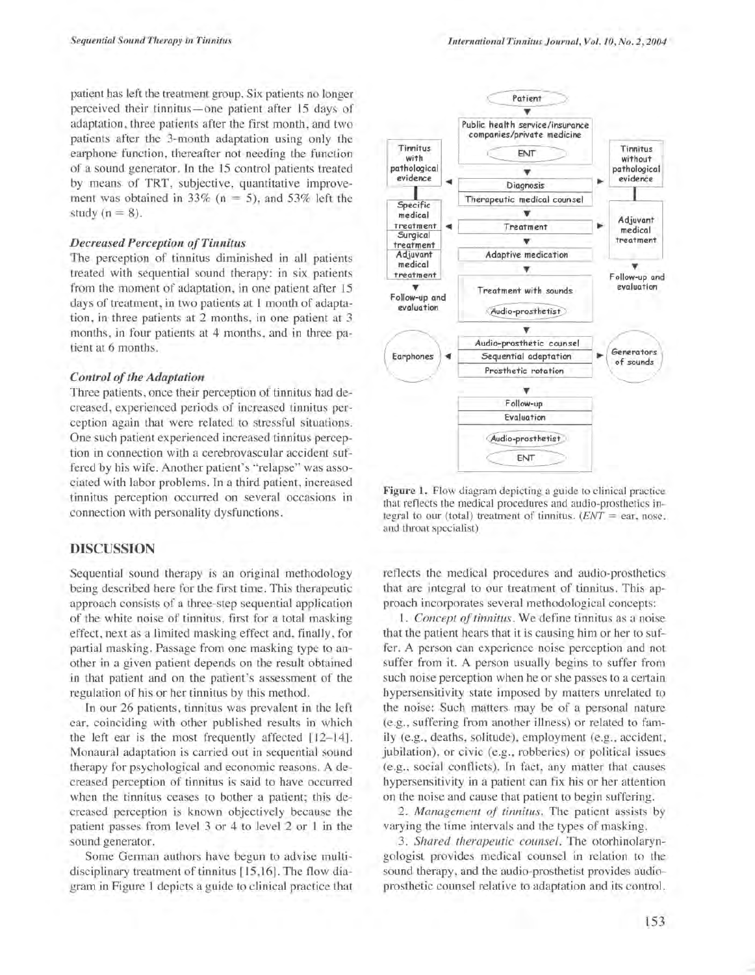patient has left the treatment group. Six patients no longer perceived their tinnitus-one patient after 15 days of adaptation, three patients after the first month, and two patients after the 3-month adaptation using only the earphone function, thereafter not needing the function of a sound generator. In the 15 control patients treated by means of TRT, subjective, quantitative improvement was obtained in 33% ( $n = 5$ ), and 53% left the study  $(n = 8)$ .

#### *Decreased Perception of Tinnitus*

The perception of tinnitus diminished in all patients treated with sequential sound therapy: in six patients from the moment of adaptation, in one patient after 15 days of treatment, in two patients at 1 month of adaptation, in three patients at 2 months, in one patient at 3 months, in four patients at 4 months, and in three patient at 6 months.

#### *Control of the Adaptation*

Three patients, once their perception of tinnitus had decreased, experienced periods of increased tinnitus perception again that were related to stressful situations. One such patient experienced increased tinnitus perception in connection with a cerebrovascular accident suffered by his wife. Another patient's "relapse" was associated with labor problems. In a third patient, increased tinnitus perception occurred on several occasions in connection with personality dysfunctions.

#### **DISCUSSION**

Sequential sound therapy is an original methodology being described here for the first time. This therapeutic approach consists of a three-step sequential application of the white noise of tinnitus, first for a total masking effect, next as a limited masking effect and, finally, for partial masking. Passage from one masking type to another in a given patient depends on the result obtained in that patient and on the patient's assessment of the regulation of his or her tinnitus by this method.

In our 26 patients, tinnitus was prevalent in the left ear, coinciding with other published results in which the left ear is the most frequently affected [12-14]. Monaural adaptation is carried out in sequential sound therapy for psychological and economic reasons. A decreased perception of tinnitus is said to have occurred when the tinnitus ceases to bother a patient; this decreased perception is known objectively because the patient passes from level 3 or 4 to level 2 or 1 in the sound generator.

Some German authors have begun to advise multidisciplinary treatment of tinnitus [15,16]. The flow diagram in Figure 1 depicts a guide to clinical practice that



Figure 1. Flow diagram depicting a guide to clinical practice that reflects the medical procedures and audio-prosthetics integral to our (total) treatment of tinnitus.  $(ENT = ear, nose)$ . and throat specialist)

reflects the medical procedures and audio-prosthetics that are integral to our treatment of tinnitus. This approach incorporates several methodological concepts:

*1. Concept of tinnitus.* We define tinnitus as a noise that the patient hears that it is causing him or her to suffer. A person can experience noise perception and not suffer from it. A person usually begins to suffer from such noise perception when he or she passes to a certain hypersensitivity state imposed by matters unrelated to the noise: Such matters may be of a personal nature (e.g., suffering from another illness) or related to family (e.g., deaths, solitude), employment (e.g., accident, jubilation), or civic (e.g., robberies) or political issues (e.g., social conflicts). In fact, any matter that causes hypersensitivity in a patient can fix his or her attention on the noise and cause that patient to begin suffering.

*2. Management of tinnitus.* The patient assists by varying the time intervals and the types of masking.

*3. Shared therapeutic counsel.* The otorhinolaryngologist provides medical counsel in relation to the sound therapy, and the audio-prosthetist provides audioprosthetic counsel relative to adaptation and its control.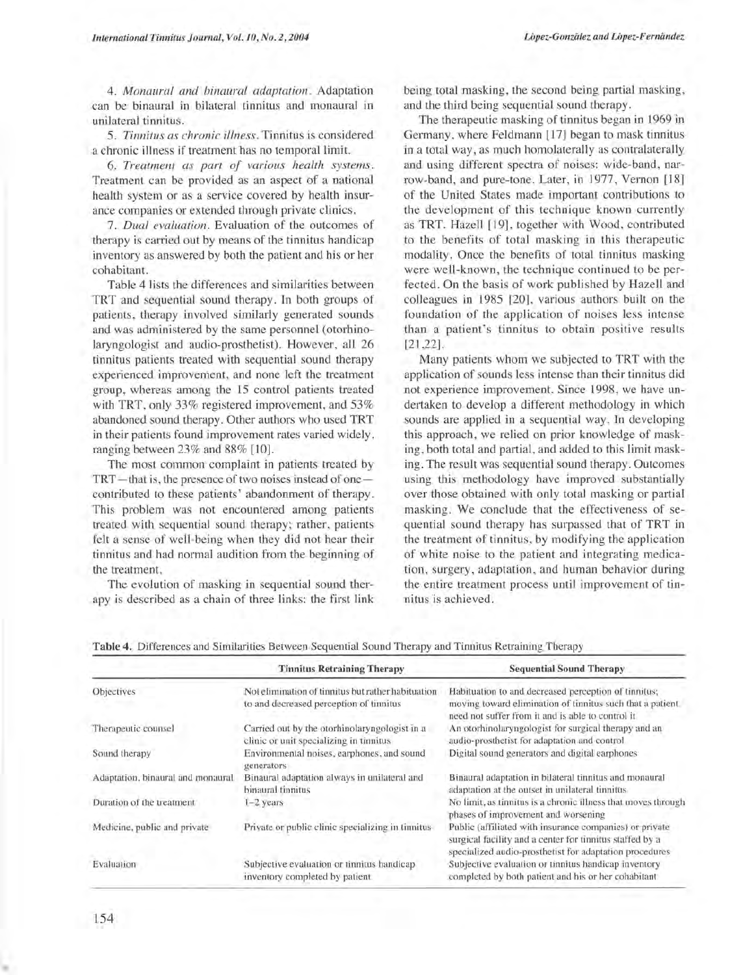*4. Monaural and binaural adaptation.* Adaptation can be binaural in bilateral tinnitus and monaural in unilateral tinnitus.

*5. Tinnitus as chronic illness.* Tinnitus is considered a chronic illness if treatment has no temporal limit.

*6. Treatment as part of various health systems.*  Treatment can be provided as an aspect of a national health system or as a service covered by health insurance companies or extended through private clinics.

*7 . Dual evaluation.* Evaluation of the outcomes of therapy is carried out by means of the tinnitus handicap inventory as answered by both the patient and his or her cohabitant.

Table 4 lists the differences and similarities between TRT and sequential sound therapy. In both groups of patients, therapy involved similarly generated sounds and was administered by the same personnel (otorhinolaryngologist and audio-prosthetist). However, all 26 tinnitus patients treated with sequential sound therapy experienced improvement, and none left the treatment group, whereas among the 15 control patients treated with TRT, only 33% registered improvement, and 53% abandoned sound therapy. Other authors who used TRT in their patients found improvement rates varied widely, ranging between 23% and 88% [10].

The most common complaint in patients treated by TRT-that is, the presence of two noises instead of onecontributed to these patients' abandonment of therapy. This problem was not encountered among patients treated with sequential sound therapy; rather, patients felt a sense of well-being when they did not hear their tinnitus and had normal audition from the beginning of the treatment.

The evolution of masking in sequential sound therapy is described as a chain of three links: the first link being total masking, the second being partial masking, and the third being sequential sound therapy.

The therapeutic masking of tinnitus began in 1969 in Germany , where Feldmann [17] began to mask tinnitus in a total way, as much homolaterally as contralaterally and using different spectra of noises: wide-band, narrow-band, and pure-tone. Later, in 1977, Vernon [18] of the United States made important contributions to the development of this technique known currently as TRT. Hazell [19], together with Wood, contributed to the benefits of total masking in this therapeutic modality. Once the benefits of total tinnitus masking were well-known, the technique continued to be perfected. On the basis of work published by Hazell and colleagues in 1985 [20], various authors built on the foundation of the application of noises less intense than a patient's tinnitus to obtain positive results [21,22].

Many patients whom we subjected to TRT with the application of sounds less intense than their tinnitus did not experience improvement. Since 1998, we have undertaken to develop a different methodology in which sounds are applied in a sequential way. In developing this approach, we relied on prior knowledge of masking, both total and partial, and added to this limit masking. The result was sequential sound therapy. Outcomes using this methodology have improved substantially over those obtained with only total masking or partial masking. We conclude that the effectiveness of sequential sound therapy has surpassed that of TRT in the treatment of tinnitus, by modifying the application of white noise to the patient and integrating medication, surgery, adaptation, and human behavior during the entire treatment process until improvement of tinnitus is achieved.

|                                   | <b>Tinnitus Retraining Therapy</b>                                                            | <b>Sequential Sound Therapy</b>                                                                                                                                                |
|-----------------------------------|-----------------------------------------------------------------------------------------------|--------------------------------------------------------------------------------------------------------------------------------------------------------------------------------|
| Objectives                        | Not elimination of tinnitus but rather habituation<br>to and decreased perception of tinnitus | Habituation to and decreased perception of tinnitus;<br>moving toward elimination of tinnitus such that a patient.<br>need not suffer from it and is able to control it.       |
| Therapeutic counsel               | Carried out by the otorhinolaryngologist in a<br>clinic or unit specializing in tinnitus      | An otorhinolaryngologist for surgical therapy and an<br>audio-prosthetist for adaptation and control                                                                           |
| Sound therapy                     | Environmental noises, earphones, and sound<br>generators                                      | Digital sound generators and digital earphones                                                                                                                                 |
| Adaptation, binaural and monaural | Binaural adaptation always in unilateral and<br>binaural tinnitus                             | Binaural adaptation in bilateral tinnitus and monaural<br>adaptation at the outset in unilateral tinnitus                                                                      |
| Duration of the treatment         | $1-2$ years                                                                                   | No limit, as tinnitus is a chronic illness that moves through<br>phases of improvement and worsening                                                                           |
| Medicine, public and private      | Private or public clinic specializing in tinnitus                                             | Public (affiliated with insurance companies) or private<br>surgical facility and a center for tinnitus staffed by a<br>specialized audio-prosthetist for adaptation procedures |
| Evaluation                        | Subjective evaluation or tinnitus handicap<br>inventory completed by patient.                 | Subjective evaluation or tinnitus handicap inventory<br>completed by both patient and his or her cohabitant                                                                    |

Table 4. Differences and Similarities Between Sequential Sound Therapy and Tinnitus Retraining Therapy